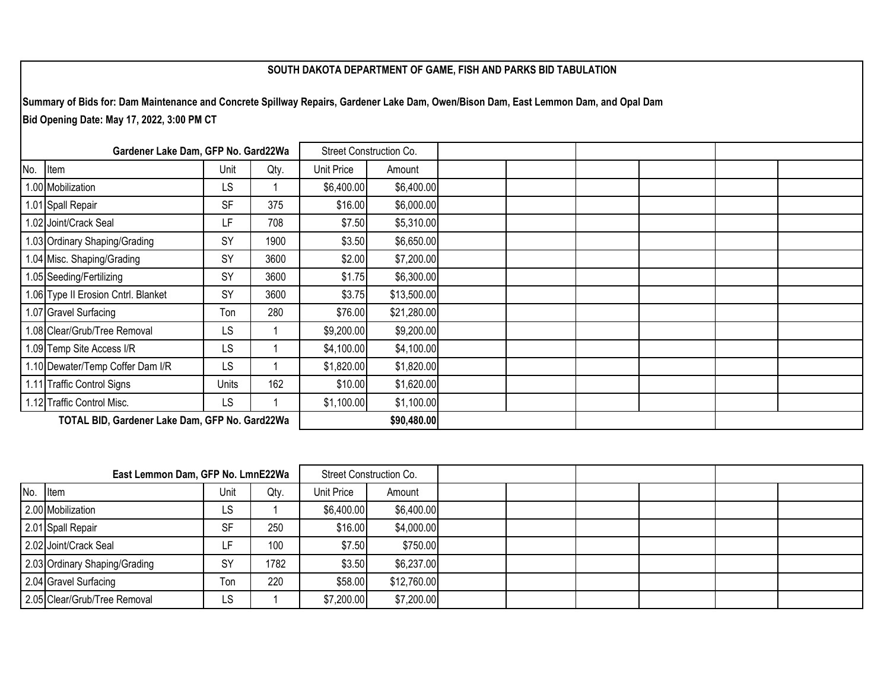## **SOUTH DAKOTA DEPARTMENT OF GAME, FISH AND PARKS BID TABULATION**

**Summary of Bids for: Dam Maintenance and Concrete Spillway Repairs, Gardener Lake Dam, Owen/Bison Dam, East Lemmon Dam, and Opal Dam Bid Opening Date: May 17, 2022, 3:00 PM CT** 

| Gardener Lake Dam, GFP No. Gard22Wa            |                                     |           |      | Street Construction Co. |             |  |  |  |  |  |  |
|------------------------------------------------|-------------------------------------|-----------|------|-------------------------|-------------|--|--|--|--|--|--|
| No.                                            | Item                                | Unit      | Qty. | Unit Price              | Amount      |  |  |  |  |  |  |
|                                                | .00 Mobilization                    | LS        |      | \$6,400.00              | \$6,400.00  |  |  |  |  |  |  |
|                                                | 1.01 Spall Repair                   | <b>SF</b> | 375  | \$16.00                 | \$6,000.00  |  |  |  |  |  |  |
|                                                | 1.02 Joint/Crack Seal               | LF        | 708  | \$7.50                  | \$5,310.00  |  |  |  |  |  |  |
|                                                | 1.03 Ordinary Shaping/Grading       | SY        | 1900 | \$3.50                  | \$6,650.00  |  |  |  |  |  |  |
|                                                | 1.04 Misc. Shaping/Grading          | SY        | 3600 | \$2.00                  | \$7,200.00  |  |  |  |  |  |  |
|                                                | 1.05 Seeding/Fertilizing            | SY        | 3600 | \$1.75                  | \$6,300.00  |  |  |  |  |  |  |
|                                                | 1.06 Type II Erosion Cntrl. Blanket | <b>SY</b> | 3600 | \$3.75                  | \$13,500.00 |  |  |  |  |  |  |
|                                                | 1.07 Gravel Surfacing               | Ton       | 280  | \$76.00                 | \$21,280.00 |  |  |  |  |  |  |
|                                                | .08 Clear/Grub/Tree Removal         | LS        |      | \$9,200.00              | \$9,200.00  |  |  |  |  |  |  |
|                                                | 1.09 Temp Site Access I/R           | LS        |      | \$4,100.00              | \$4,100.00  |  |  |  |  |  |  |
|                                                | 1.10 Dewater/Temp Coffer Dam I/R    | LS        |      | \$1,820.00              | \$1,820.00  |  |  |  |  |  |  |
|                                                | 1.11 Traffic Control Signs          | Units     | 162  | \$10.00                 | \$1,620.00  |  |  |  |  |  |  |
|                                                | 1.12 Traffic Control Misc.          | <b>LS</b> |      | \$1,100.00              | \$1,100.00  |  |  |  |  |  |  |
| TOTAL BID, Gardener Lake Dam, GFP No. Gard22Wa |                                     |           |      |                         | \$90,480.00 |  |  |  |  |  |  |

| East Lemmon Dam, GFP No. LmnE22Wa |                               |           |      | Street Construction Co. |             |  |  |  |
|-----------------------------------|-------------------------------|-----------|------|-------------------------|-------------|--|--|--|
| No. Item                          |                               | Unit      | Qty. | Unit Price              | Amount      |  |  |  |
|                                   | 2.00 Mobilization             | LS        |      | \$6,400.00              | \$6,400.00  |  |  |  |
|                                   | 2.01 Spall Repair             | <b>SF</b> | 250  | \$16.00                 | \$4,000.00  |  |  |  |
|                                   | 2.02 Joint/Crack Seal         |           | 100  | \$7.50                  | \$750.00    |  |  |  |
|                                   | 2.03 Ordinary Shaping/Grading | SY        | 1782 | \$3.50                  | \$6,237.00  |  |  |  |
|                                   | 2.04 Gravel Surfacing         | Ton       | 220  | \$58.00                 | \$12,760.00 |  |  |  |
|                                   | 2.05 Clear/Grub/Tree Removal  | LS        |      | \$7,200.00              | \$7,200.00  |  |  |  |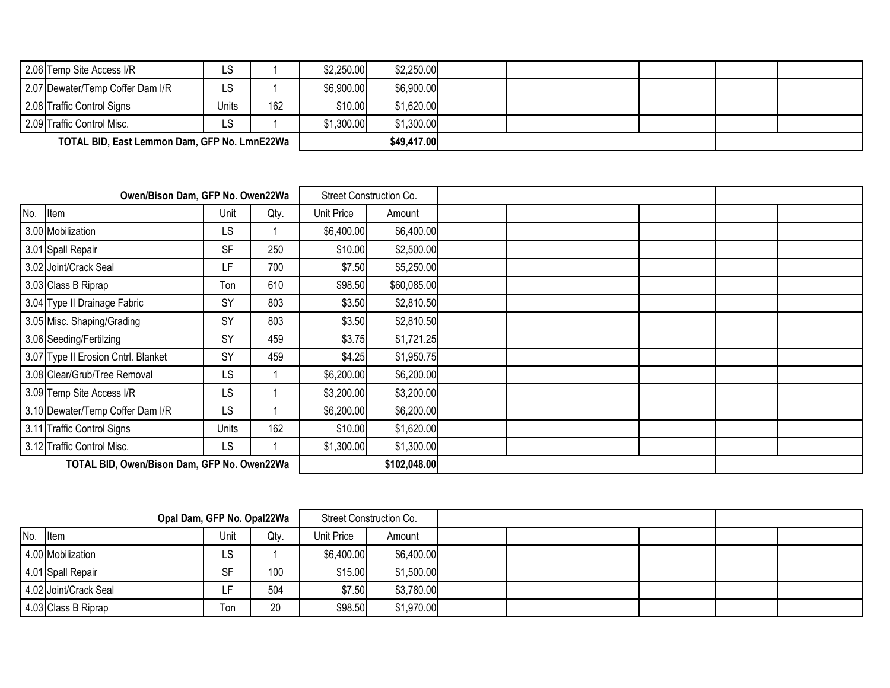|                                              | 2.06 Temp Site Access I/R        | LS    |     | \$2,250.00 | \$2,250.00  |  |  |  |
|----------------------------------------------|----------------------------------|-------|-----|------------|-------------|--|--|--|
|                                              | 2.07 Dewater/Temp Coffer Dam I/R | LS    |     | \$6,900.00 | \$6,900.00  |  |  |  |
|                                              | 2.08 Traffic Control Signs       | Units | 162 | \$10.00    | \$1,620.00  |  |  |  |
|                                              | 2.09 Traffic Control Misc.       | LS    |     | \$1,300.00 | \$1,300.00  |  |  |  |
| TOTAL BID, East Lemmon Dam, GFP No. LmnE22Wa |                                  |       |     |            | \$49,417.00 |  |  |  |

|                                             | Owen/Bison Dam, GFP No. Owen22Wa    |           | Street Construction Co. |            |              |  |  |  |
|---------------------------------------------|-------------------------------------|-----------|-------------------------|------------|--------------|--|--|--|
| No.                                         | Item                                | Unit      | Qty.                    | Unit Price | Amount       |  |  |  |
|                                             | 3.00 Mobilization                   | LS        |                         | \$6,400.00 | \$6,400.00   |  |  |  |
|                                             | 3.01 Spall Repair                   | <b>SF</b> | 250                     | \$10.00    | \$2,500.00   |  |  |  |
|                                             | 3.02 Joint/Crack Seal               | LF        | 700                     | \$7.50     | \$5,250.00   |  |  |  |
|                                             | 3.03 Class B Riprap                 | Ton       | 610                     | \$98.50    | \$60,085.00  |  |  |  |
|                                             | 3.04 Type II Drainage Fabric        | <b>SY</b> | 803                     | \$3.50     | \$2,810.50   |  |  |  |
|                                             | 3.05 Misc. Shaping/Grading          | SY        | 803                     | \$3.50     | \$2,810.50   |  |  |  |
|                                             | 3.06 Seeding/Fertilzing             | SY        | 459                     | \$3.75     | \$1,721.25   |  |  |  |
|                                             | 3.07 Type II Erosion Cntrl. Blanket | SY        | 459                     | \$4.25     | \$1,950.75   |  |  |  |
|                                             | 3.08 Clear/Grub/Tree Removal        | LS        |                         | \$6,200.00 | \$6,200.00   |  |  |  |
|                                             | 3.09 Temp Site Access I/R           | LS        |                         | \$3,200.00 | \$3,200.00   |  |  |  |
|                                             | 3.10 Dewater/Temp Coffer Dam I/R    | LS        |                         | \$6,200.00 | \$6,200.00   |  |  |  |
|                                             | 3.11 Traffic Control Signs          | Units     | 162                     | \$10.00    | \$1,620.00   |  |  |  |
|                                             | 3.12 Traffic Control Misc.          | LS        |                         | \$1,300.00 | \$1,300.00   |  |  |  |
| TOTAL BID, Owen/Bison Dam, GFP No. Owen22Wa |                                     |           |                         |            | \$102,048.00 |  |  |  |

| Opal Dam, GFP No. Opal22Wa |                       |           |      | Street Construction Co. |            |  |  |  |
|----------------------------|-----------------------|-----------|------|-------------------------|------------|--|--|--|
| No. Item                   |                       | Unit      | Qty. | Unit Price              | Amount     |  |  |  |
|                            | 4.00 Mobilization     | LS        |      | \$6,400.00              | \$6,400.00 |  |  |  |
|                            | 4.01 Spall Repair     | <b>SF</b> | 100  | \$15.00                 | \$1,500.00 |  |  |  |
|                            | 4.02 Joint/Crack Seal | -         | 504  | \$7.50                  | \$3,780.00 |  |  |  |
|                            | 4.03 Class B Riprap   | Ton       | 20   | \$98.50                 | \$1,970.00 |  |  |  |